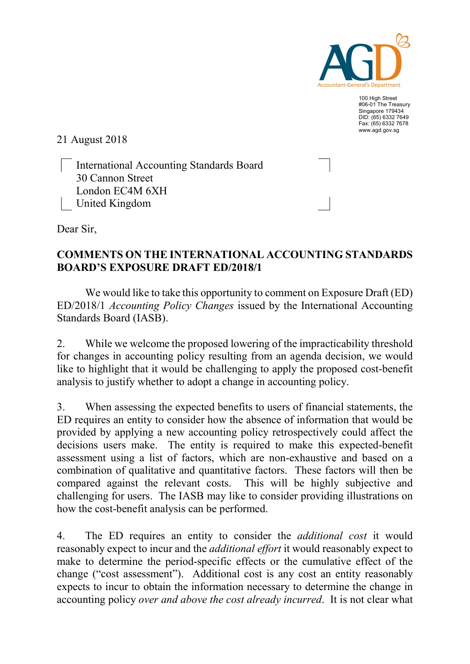

100 High Street #06-01 The Treasury Singapore 179434 DID: (65) 6332 7649 Fax: (65) 6332 7678 www.agd.gov.sg

21 August 2018

 International Accounting Standards Board 30 Cannon Street London EC4M 6XH United Kingdom

Dear Sir,

## COMMENTS ON THE INTERNATIONAL ACCOUNTING STANDARDS BOARD'S EXPOSURE DRAFT ED/2018/1

We would like to take this opportunity to comment on Exposure Draft (ED) ED/2018/1 Accounting Policy Changes issued by the International Accounting Standards Board (IASB).

2. While we welcome the proposed lowering of the impracticability threshold for changes in accounting policy resulting from an agenda decision, we would like to highlight that it would be challenging to apply the proposed cost-benefit analysis to justify whether to adopt a change in accounting policy.

3. When assessing the expected benefits to users of financial statements, the ED requires an entity to consider how the absence of information that would be provided by applying a new accounting policy retrospectively could affect the decisions users make. The entity is required to make this expected-benefit assessment using a list of factors, which are non-exhaustive and based on a combination of qualitative and quantitative factors. These factors will then be compared against the relevant costs. This will be highly subjective and challenging for users. The IASB may like to consider providing illustrations on how the cost-benefit analysis can be performed.

4. The ED requires an entity to consider the *additional cost* it would reasonably expect to incur and the *additional effort* it would reasonably expect to make to determine the period-specific effects or the cumulative effect of the change ("cost assessment"). Additional cost is any cost an entity reasonably expects to incur to obtain the information necessary to determine the change in accounting policy over and above the cost already incurred. It is not clear what